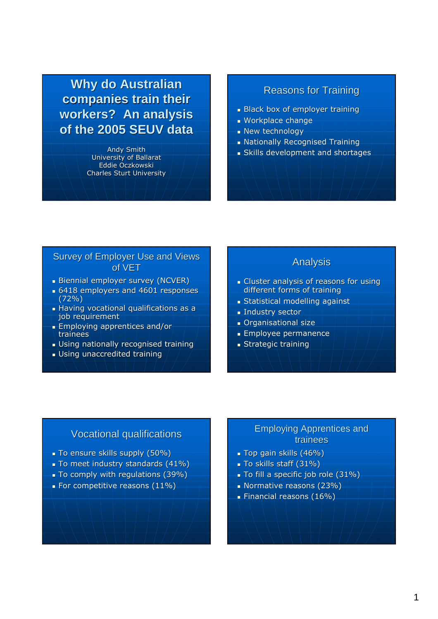**Why do Australian companies train their workers? An analysis of the 2005 SEUV data**

> Andy Smith University of Ballarat Eddie Oczkowski Charles Sturt University

## Reasons for Training

- Black box of employer training
- Workplace change
- **New technology**
- Nationally Recognised Training
- Skills development and shortages

#### Survey of Employer Use and Views of VET

- Biennial employer survey (NCVER)
- **6418 employers and 4601 responses** (72%)
- **Having vocational qualifications as a** job requirement
- Employing apprentices and/or trainees
- Using nationally recognised training
- Using unaccredited training

### Analysis

- Cluster analysis of reasons for using different forms of training
- Statistical modelling against
- **Industry sector**
- Organisational size
- Employee permanence
- **Strategic training**

## Vocational qualifications

- To ensure skills supply (50%)
- To meet industry standards (41%)
- To comply with regulations (39%)
- For competitive reasons (11%)

#### Employing Apprentices and trainees

- Top gain skills (46%)
- To skills staff (31%)
- To fill a specific job role (31%)
- Normative reasons (23%)
- Financial reasons (16%)